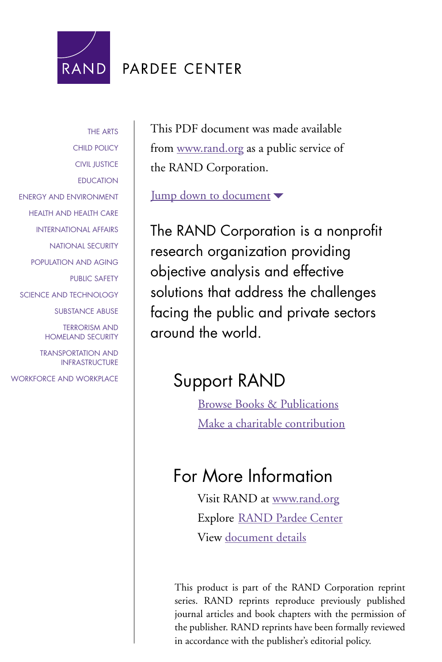

# PARDEE CENTER

[THE ARTS](http://www.rand.org/pdfrd/research_areas/arts/) [CHILD POLICY](http://www.rand.org/pdfrd/research_areas/children/) [CIVIL JUSTICE](http://www.rand.org/pdfrd/research_areas/civil_justice/) [EDUCATION](http://www.rand.org/pdfrd/research_areas/education/) [ENERGY AND ENVIRONMENT](http://www.rand.org/pdfrd/research_areas/energy_environment/) [HEALTH AND HEALTH CARE](http://www.rand.org/pdfrd/research_areas/health/) [INTERNATIONAL AFFAIRS](http://www.rand.org/pdfrd/research_areas/international_affairs/) [NATIONAL SECURITY](http://www.rand.org/pdfrd/research_areas/national_security/) [POPULATION AND AGING](http://www.rand.org/pdfrd/research_areas/population/) [PUBLIC SAFETY](http://www.rand.org/pdfrd/research_areas/public_safety/) [SCIENCE AND TECHNOLOGY](http://www.rand.org/pdfrd/research_areas/science_technology/) [SUBSTANCE ABUSE](http://www.rand.org/pdfrd/research_areas/substance_abuse/) [TERRORISM AND](http://www.rand.org/pdfrd/research_areas/terrorism/)  [HOMELAND SECURITY](http://www.rand.org/pdfrd/research_areas/terrorism/) [TRANSPORTATION AND](http://www.rand.org/pdfrd/research_areas/infrastructure/)

[INFRASTRUCTURE](http://www.rand.org/pdfrd/research_areas/infrastructure/)

[WORKFORCE AND](http://www.rand.org/pdfrd/research_areas/workforce/) WORKPLACE

This PDF document was made available from [www.rand.org](http://www.rand.org/pdfrd/) as a public service of the RAND Corporation.

[Jump down to document](#page-1-0)  $\blacktriangledown$ 

The RAND Corporation is a nonprofit research organization providing objective analysis and effective solutions that address the challenges facing the public and private sectors around the world.

# Support RAND

[Browse Books & Publications](http://www.rand.org/pdfrd/publications/electronic/) [Make a charitable contribution](http://www.rand.org/pdfrd/giving/contribute.html)

# For More Information

Visit RAND at [www.rand.org](http://www.rand.org/pdfrd/) Explore [RAND Pardee Center](http://www.rand.org/pdfrd/pardee/) View [document details](http://www.rand.org/pdfrd/publications/RP/RP1169/)

This product is part of the RAND Corporation reprint series. RAND reprints reproduce previously published journal articles and book chapters with the permission of the publisher. RAND reprints have been formally reviewed in accordance with the publisher's editorial policy.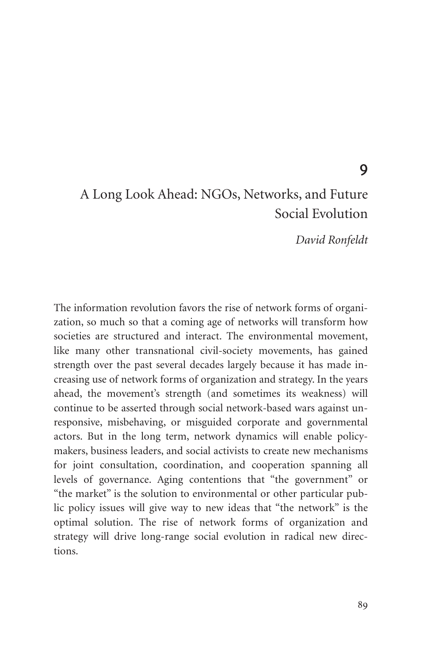# 9

# <span id="page-1-0"></span>A Long Look Ahead: NGOs, Networks, and Future Social Evolution

*David Ronfeldt*

The information revolution favors the rise of network forms of organization, so much so that a coming age of networks will transform how societies are structured and interact. The environmental movement, like many other transnational civil-society movements, has gained strength over the past several decades largely because it has made increasing use of network forms of organization and strategy. In the years ahead, the movement's strength (and sometimes its weakness) will continue to be asserted through social network-based wars against unresponsive, misbehaving, or misguided corporate and governmental actors. But in the long term, network dynamics will enable policymakers, business leaders, and social activists to create new mechanisms for joint consultation, coordination, and cooperation spanning all levels of governance. Aging contentions that "the government" or "the market" is the solution to environmental or other particular public policy issues will give way to new ideas that "the network" is the optimal solution. The rise of network forms of organization and strategy will drive long-range social evolution in radical new directions.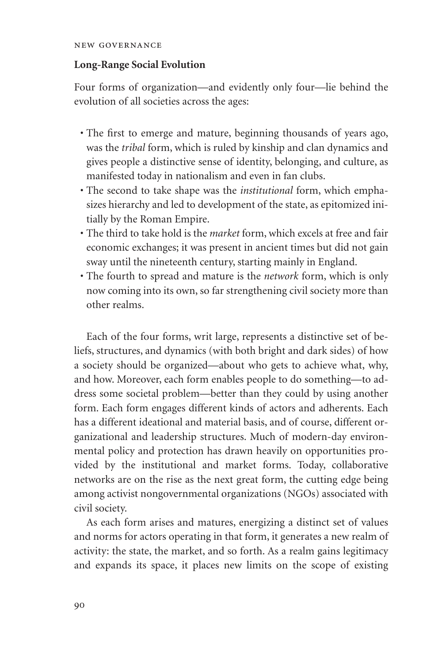### **Long-Range Social Evolution**

Four forms of organization—and evidently only four—lie behind the evolution of all societies across the ages:

- The first to emerge and mature, beginning thousands of years ago, was the *tribal* form, which is ruled by kinship and clan dynamics and gives people a distinctive sense of identity, belonging, and culture, as manifested today in nationalism and even in fan clubs.
- The second to take shape was the *institutional* form, which emphasizes hierarchy and led to development of the state, as epitomized initially by the Roman Empire.
- The third to take hold is the *market* form, which excels at free and fair economic exchanges; it was present in ancient times but did not gain sway until the nineteenth century, starting mainly in England.
- The fourth to spread and mature is the *network* form, which is only now coming into its own, so far strengthening civil society more than other realms.

Each of the four forms, writ large, represents a distinctive set of beliefs, structures, and dynamics (with both bright and dark sides) of how a society should be organized—about who gets to achieve what, why, and how. Moreover, each form enables people to do something—to address some societal problem—better than they could by using another form. Each form engages different kinds of actors and adherents. Each has a different ideational and material basis, and of course, different organizational and leadership structures. Much of modern-day environmental policy and protection has drawn heavily on opportunities provided by the institutional and market forms. Today, collaborative networks are on the rise as the next great form, the cutting edge being among activist nongovernmental organizations (NGOs) associated with civil society.

As each form arises and matures, energizing a distinct set of values and norms for actors operating in that form, it generates a new realm of activity: the state, the market, and so forth. As a realm gains legitimacy and expands its space, it places new limits on the scope of existing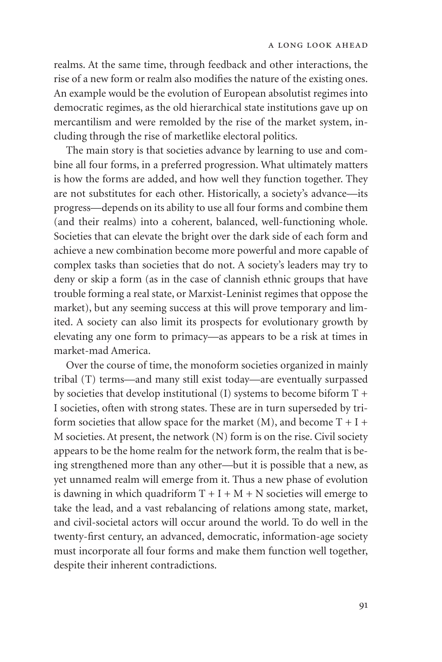realms. At the same time, through feedback and other interactions, the rise of a new form or realm also modifies the nature of the existing ones. An example would be the evolution of European absolutist regimes into democratic regimes, as the old hierarchical state institutions gave up on mercantilism and were remolded by the rise of the market system, including through the rise of marketlike electoral politics.

The main story is that societies advance by learning to use and combine all four forms, in a preferred progression. What ultimately matters is how the forms are added, and how well they function together. They are not substitutes for each other. Historically, a society's advance—its progress—depends on its ability to use all four forms and combine them (and their realms) into a coherent, balanced, well-functioning whole. Societies that can elevate the bright over the dark side of each form and achieve a new combination become more powerful and more capable of complex tasks than societies that do not. A society's leaders may try to deny or skip a form (as in the case of clannish ethnic groups that have trouble forming a real state, or Marxist-Leninist regimes that oppose the market), but any seeming success at this will prove temporary and limited. A society can also limit its prospects for evolutionary growth by elevating any one form to primacy—as appears to be a risk at times in market-mad America.

Over the course of time, the monoform societies organized in mainly tribal (T) terms—and many still exist today—are eventually surpassed by societies that develop institutional (I) systems to become biform T + I societies, often with strong states. These are in turn superseded by triform societies that allow space for the market  $(M)$ , and become  $T + I +$ M societies. At present, the network (N) form is on the rise. Civil society appears to be the home realm for the network form, the realm that is being strengthened more than any other—but it is possible that a new, as yet unnamed realm will emerge from it. Thus a new phase of evolution is dawning in which quadriform  $T + I + M + N$  societies will emerge to take the lead, and a vast rebalancing of relations among state, market, and civil-societal actors will occur around the world. To do well in the twenty-first century, an advanced, democratic, information-age society must incorporate all four forms and make them function well together, despite their inherent contradictions.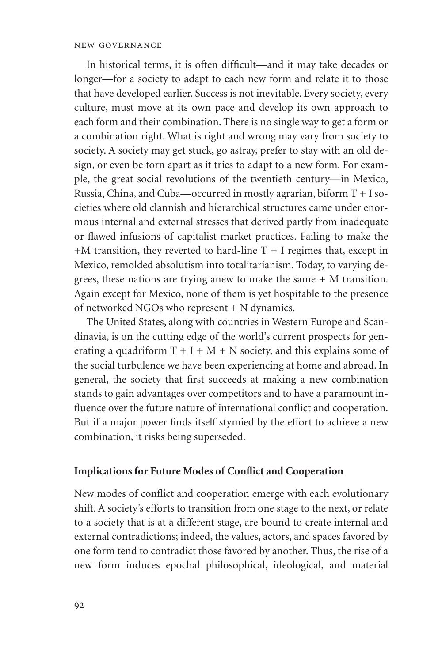In historical terms, it is often difficult—and it may take decades or longer—for a society to adapt to each new form and relate it to those that have developed earlier. Success is not inevitable. Every society, every culture, must move at its own pace and develop its own approach to each form and their combination. There is no single way to get a form or a combination right. What is right and wrong may vary from society to society. A society may get stuck, go astray, prefer to stay with an old design, or even be torn apart as it tries to adapt to a new form. For example, the great social revolutions of the twentieth century—in Mexico, Russia, China, and Cuba—occurred in mostly agrarian, biform T + I societies where old clannish and hierarchical structures came under enormous internal and external stresses that derived partly from inadequate or flawed infusions of capitalist market practices. Failing to make the  $+M$  transition, they reverted to hard-line  $T + I$  regimes that, except in Mexico, remolded absolutism into totalitarianism. Today, to varying degrees, these nations are trying anew to make the same + M transition. Again except for Mexico, none of them is yet hospitable to the presence of networked NGOs who represent + N dynamics.

The United States, along with countries in Western Europe and Scandinavia, is on the cutting edge of the world's current prospects for generating a quadriform  $T + I + M + N$  society, and this explains some of the social turbulence we have been experiencing at home and abroad. In general, the society that first succeeds at making a new combination stands to gain advantages over competitors and to have a paramount influence over the future nature of international conflict and cooperation. But if a major power finds itself stymied by the effort to achieve a new combination, it risks being superseded.

## **Implications for Future Modes of Conflict and Cooperation**

New modes of conflict and cooperation emerge with each evolutionary shift. A society's efforts to transition from one stage to the next, or relate to a society that is at a different stage, are bound to create internal and external contradictions; indeed, the values, actors, and spaces favored by one form tend to contradict those favored by another. Thus, the rise of a new form induces epochal philosophical, ideological, and material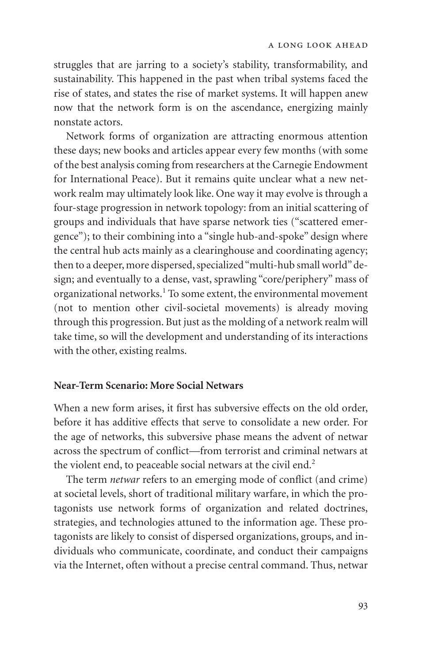struggles that are jarring to a society's stability, transformability, and sustainability. This happened in the past when tribal systems faced the rise of states, and states the rise of market systems. It will happen anew now that the network form is on the ascendance, energizing mainly nonstate actors.

Network forms of organization are attracting enormous attention these days; new books and articles appear every few months (with some of the best analysis coming from researchers at the Carnegie Endowment for International Peace). But it remains quite unclear what a new network realm may ultimately look like. One way it may evolve is through a four-stage progression in network topology: from an initial scattering of groups and individuals that have sparse network ties ("scattered emergence"); to their combining into a "single hub-and-spoke" design where the central hub acts mainly as a clearinghouse and coordinating agency; then to a deeper, more dispersed, specialized "multi-hub small world"design; and eventually to a dense, vast, sprawling "core/periphery" mass of organizational networks.<sup>1</sup> To some extent, the environmental movement (not to mention other civil-societal movements) is already moving through this progression. But just as the molding of a network realm will take time, so will the development and understanding of its interactions with the other, existing realms.

## **Near-Term Scenario: More Social Netwars**

When a new form arises, it first has subversive effects on the old order, before it has additive effects that serve to consolidate a new order. For the age of networks, this subversive phase means the advent of netwar across the spectrum of conflict—from terrorist and criminal netwars at the violent end, to peaceable social netwars at the civil end.<sup>2</sup>

The term *netwar* refers to an emerging mode of conflict (and crime) at societal levels, short of traditional military warfare, in which the protagonists use network forms of organization and related doctrines, strategies, and technologies attuned to the information age. These protagonists are likely to consist of dispersed organizations, groups, and individuals who communicate, coordinate, and conduct their campaigns via the Internet, often without a precise central command. Thus, netwar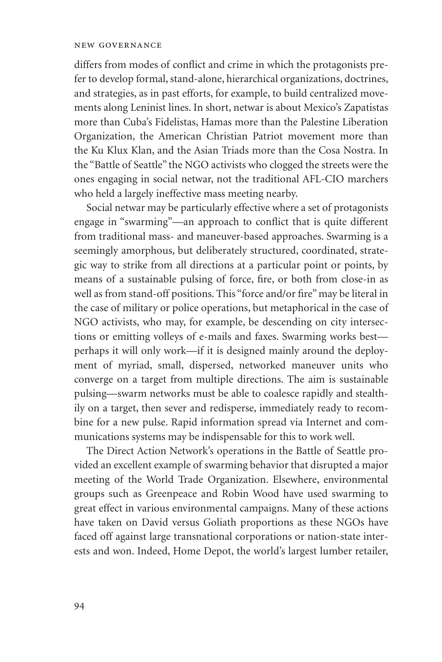#### new governance

differs from modes of conflict and crime in which the protagonists prefer to develop formal, stand-alone, hierarchical organizations, doctrines, and strategies, as in past efforts, for example, to build centralized movements along Leninist lines. In short, netwar is about Mexico's Zapatistas more than Cuba's Fidelistas, Hamas more than the Palestine Liberation Organization, the American Christian Patriot movement more than the Ku Klux Klan, and the Asian Triads more than the Cosa Nostra. In the "Battle of Seattle" the NGO activists who clogged the streets were the ones engaging in social netwar, not the traditional AFL-CIO marchers who held a largely ineffective mass meeting nearby.

Social netwar may be particularly effective where a set of protagonists engage in "swarming"—an approach to conflict that is quite different from traditional mass- and maneuver-based approaches. Swarming is a seemingly amorphous, but deliberately structured, coordinated, strategic way to strike from all directions at a particular point or points, by means of a sustainable pulsing of force, fire, or both from close-in as well as from stand-off positions. This "force and/or fire" may be literal in the case of military or police operations, but metaphorical in the case of NGO activists, who may, for example, be descending on city intersections or emitting volleys of e-mails and faxes. Swarming works best perhaps it will only work—if it is designed mainly around the deployment of myriad, small, dispersed, networked maneuver units who converge on a target from multiple directions. The aim is sustainable pulsing—swarm networks must be able to coalesce rapidly and stealthily on a target, then sever and redisperse, immediately ready to recombine for a new pulse. Rapid information spread via Internet and communications systems may be indispensable for this to work well.

The Direct Action Network's operations in the Battle of Seattle provided an excellent example of swarming behavior that disrupted a major meeting of the World Trade Organization. Elsewhere, environmental groups such as Greenpeace and Robin Wood have used swarming to great effect in various environmental campaigns. Many of these actions have taken on David versus Goliath proportions as these NGOs have faced off against large transnational corporations or nation-state interests and won. Indeed, Home Depot, the world's largest lumber retailer,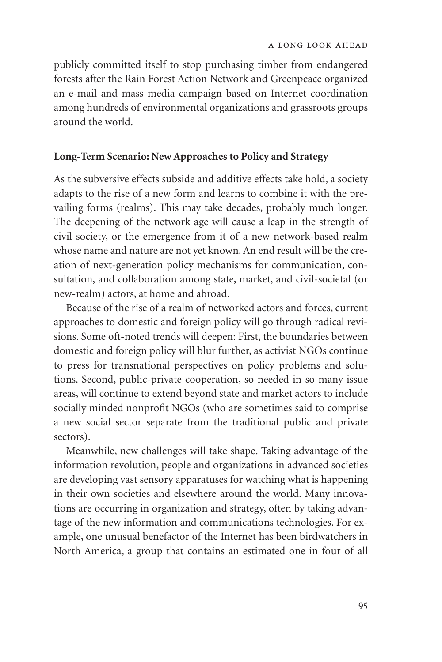publicly committed itself to stop purchasing timber from endangered forests after the Rain Forest Action Network and Greenpeace organized an e-mail and mass media campaign based on Internet coordination among hundreds of environmental organizations and grassroots groups around the world.

## **Long-Term Scenario: New Approaches to Policy and Strategy**

As the subversive effects subside and additive effects take hold, a society adapts to the rise of a new form and learns to combine it with the prevailing forms (realms). This may take decades, probably much longer. The deepening of the network age will cause a leap in the strength of civil society, or the emergence from it of a new network-based realm whose name and nature are not yet known. An end result will be the creation of next-generation policy mechanisms for communication, consultation, and collaboration among state, market, and civil-societal (or new-realm) actors, at home and abroad.

Because of the rise of a realm of networked actors and forces, current approaches to domestic and foreign policy will go through radical revisions. Some oft-noted trends will deepen: First, the boundaries between domestic and foreign policy will blur further, as activist NGOs continue to press for transnational perspectives on policy problems and solutions. Second, public-private cooperation, so needed in so many issue areas, will continue to extend beyond state and market actors to include socially minded nonprofit NGOs (who are sometimes said to comprise a new social sector separate from the traditional public and private sectors).

Meanwhile, new challenges will take shape. Taking advantage of the information revolution, people and organizations in advanced societies are developing vast sensory apparatuses for watching what is happening in their own societies and elsewhere around the world. Many innovations are occurring in organization and strategy, often by taking advantage of the new information and communications technologies. For example, one unusual benefactor of the Internet has been birdwatchers in North America, a group that contains an estimated one in four of all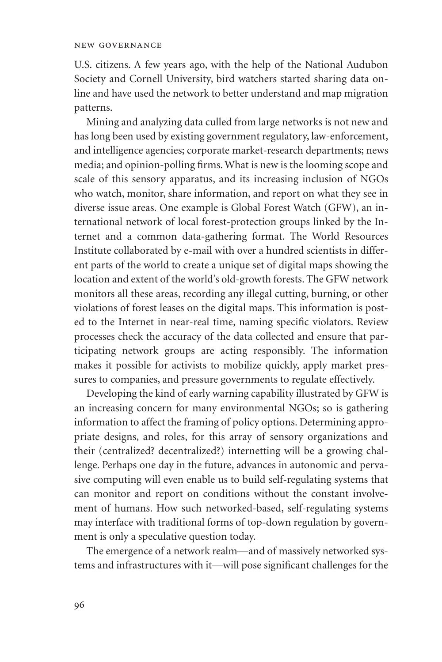#### new governance

U.S. citizens. A few years ago, with the help of the National Audubon Society and Cornell University, bird watchers started sharing data online and have used the network to better understand and map migration patterns.

Mining and analyzing data culled from large networks is not new and has long been used by existing government regulatory, law-enforcement, and intelligence agencies; corporate market-research departments; news media; and opinion-polling firms. What is new is the looming scope and scale of this sensory apparatus, and its increasing inclusion of NGOs who watch, monitor, share information, and report on what they see in diverse issue areas. One example is Global Forest Watch (GFW), an international network of local forest-protection groups linked by the Internet and a common data-gathering format. The World Resources Institute collaborated by e-mail with over a hundred scientists in different parts of the world to create a unique set of digital maps showing the location and extent of the world's old-growth forests. The GFW network monitors all these areas, recording any illegal cutting, burning, or other violations of forest leases on the digital maps. This information is posted to the Internet in near-real time, naming specific violators. Review processes check the accuracy of the data collected and ensure that participating network groups are acting responsibly. The information makes it possible for activists to mobilize quickly, apply market pressures to companies, and pressure governments to regulate effectively.

Developing the kind of early warning capability illustrated by GFW is an increasing concern for many environmental NGOs; so is gathering information to affect the framing of policy options. Determining appropriate designs, and roles, for this array of sensory organizations and their (centralized? decentralized?) internetting will be a growing challenge. Perhaps one day in the future, advances in autonomic and pervasive computing will even enable us to build self-regulating systems that can monitor and report on conditions without the constant involvement of humans. How such networked-based, self-regulating systems may interface with traditional forms of top-down regulation by government is only a speculative question today.

The emergence of a network realm—and of massively networked systems and infrastructures with it—will pose significant challenges for the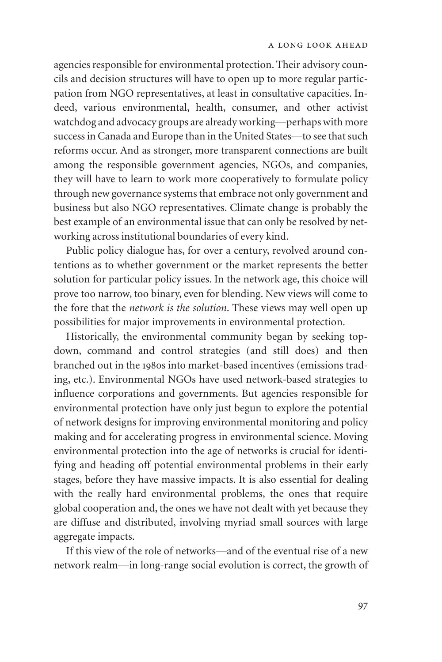agencies responsible for environmental protection. Their advisory councils and decision structures will have to open up to more regular particpation from NGO representatives, at least in consultative capacities. Indeed, various environmental, health, consumer, and other activist watchdog and advocacy groups are already working—perhaps with more success in Canada and Europe than in the United States—to see that such reforms occur. And as stronger, more transparent connections are built among the responsible government agencies, NGOs, and companies, they will have to learn to work more cooperatively to formulate policy through new governance systems that embrace not only government and business but also NGO representatives. Climate change is probably the best example of an environmental issue that can only be resolved by networking across institutional boundaries of every kind.

Public policy dialogue has, for over a century, revolved around contentions as to whether government or the market represents the better solution for particular policy issues. In the network age, this choice will prove too narrow, too binary, even for blending. New views will come to the fore that the *network is the solution*. These views may well open up possibilities for major improvements in environmental protection.

Historically, the environmental community began by seeking topdown, command and control strategies (and still does) and then branched out in the 1980s into market-based incentives (emissions trading, etc.). Environmental NGOs have used network-based strategies to influence corporations and governments. But agencies responsible for environmental protection have only just begun to explore the potential of network designs for improving environmental monitoring and policy making and for accelerating progress in environmental science. Moving environmental protection into the age of networks is crucial for identifying and heading off potential environmental problems in their early stages, before they have massive impacts. It is also essential for dealing with the really hard environmental problems, the ones that require global cooperation and, the ones we have not dealt with yet because they are diffuse and distributed, involving myriad small sources with large aggregate impacts.

If this view of the role of networks—and of the eventual rise of a new network realm—in long-range social evolution is correct, the growth of